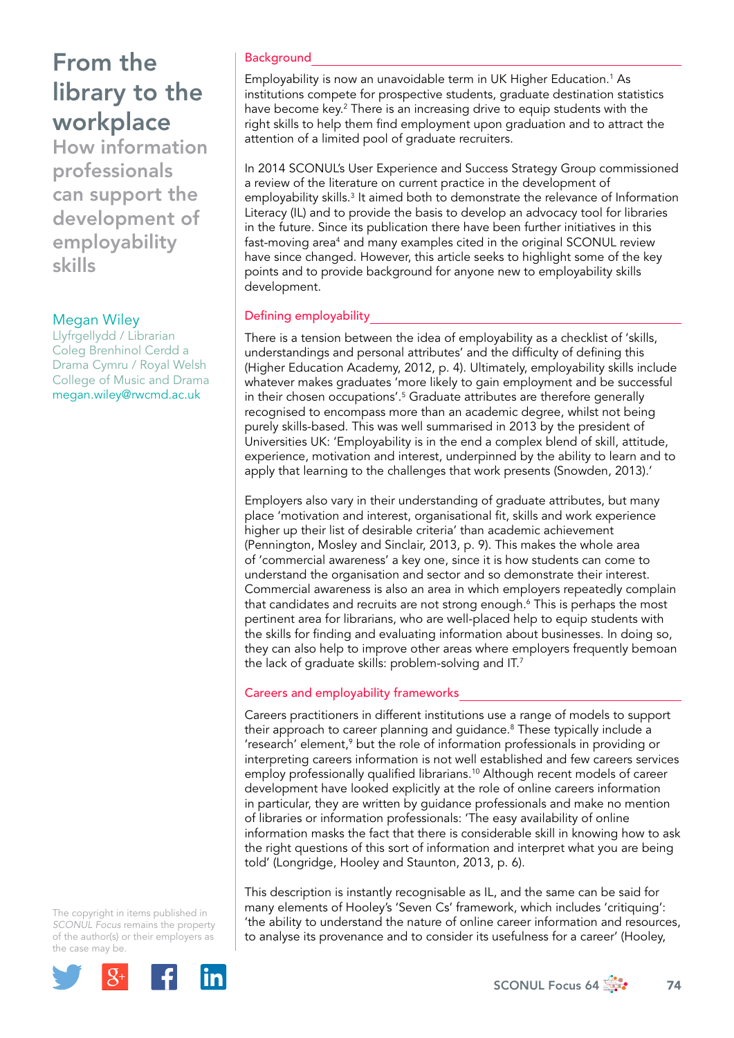How information professionals can support the development of employability skills

## Megan Wiley

Llyfrgellydd / Librarian Coleg Brenhinol Cerdd a Drama Cymru / Royal Welsh College of Music and Drama megan.wiley@rwcmd.ac.uk

The copyright in items published in *SCONUL Focus* remains the property of the author(s) or their employers as the case m[ay be.](http://plus.google.com/share?url=http://www.sconul.ac.uk/page/focus-64)



### **Background**

Employability is now an unavoidable term in UK Higher Education.1 As institutions compete for prospective students, graduate destination statistics have become key.<sup>2</sup> There is an increasing drive to equip students with the right skills to help them find employment upon graduation and to attract the attention of a limited pool of graduate recruiters.

In 2014 SCONUL's User Experience and Success Strategy Group commissioned a review of the literature on current practice in the development of employability skills.<sup>3</sup> It aimed both to demonstrate the relevance of Information Literacy (IL) and to provide the basis to develop an advocacy tool for libraries in the future. Since its publication there have been further initiatives in this fast-moving area<sup>4</sup> and many examples cited in the original SCONUL review have since changed. However, this article seeks to highlight some of the key points and to provide background for anyone new to employability skills development.

### Defining employability

There is a tension between the idea of employability as a checklist of 'skills, understandings and personal attributes' and the difficulty of defining this (Higher Education Academy, 2012, p. 4). Ultimately, employability skills include whatever makes graduates 'more likely to gain employment and be successful in their chosen occupations'.5 Graduate attributes are therefore generally recognised to encompass more than an academic degree, whilst not being purely skills-based. This was well summarised in 2013 by the president of Universities UK: 'Employability is in the end a complex blend of skill, attitude, experience, motivation and interest, underpinned by the ability to learn and to apply that learning to the challenges that work presents (Snowden, 2013).'

Employers also vary in their understanding of graduate attributes, but many place 'motivation and interest, organisational fit, skills and work experience higher up their list of desirable criteria' than academic achievement (Pennington, Mosley and Sinclair, 2013, p. 9). This makes the whole area of 'commercial awareness' a key one, since it is how students can come to understand the organisation and sector and so demonstrate their interest. Commercial awareness is also an area in which employers repeatedly complain that candidates and recruits are not strong enough.6 This is perhaps the most pertinent area for librarians, who are well-placed help to equip students with the skills for finding and evaluating information about businesses. In doing so, they can also help to improve other areas where employers frequently bemoan the lack of graduate skills: problem-solving and IT.<sup>7</sup>

### Careers and employability frameworks

Careers practitioners in different institutions use a range of models to support their approach to career planning and guidance.<sup>8</sup> These typically include a 'research' element,<sup>9</sup> but the role of information professionals in providing or interpreting careers information is not well established and few careers services employ professionally qualified librarians.<sup>10</sup> Although recent models of career development have looked explicitly at the role of online careers information in particular, they are written by guidance professionals and make no mention of libraries or information professionals: 'The easy availability of online information masks the fact that there is considerable skill in knowing how to ask the right questions of this sort of information and interpret what you are being told' (Longridge, Hooley and Staunton, 2013, p. 6).

This description is instantly recognisable as IL, and the same can be said for many elements of Hooley's 'Seven Cs' framework, which includes 'critiquing': 'the ability to understand the nature of online career information and resources, to analyse its provenance and to consider its usefulness for a career' (Hooley,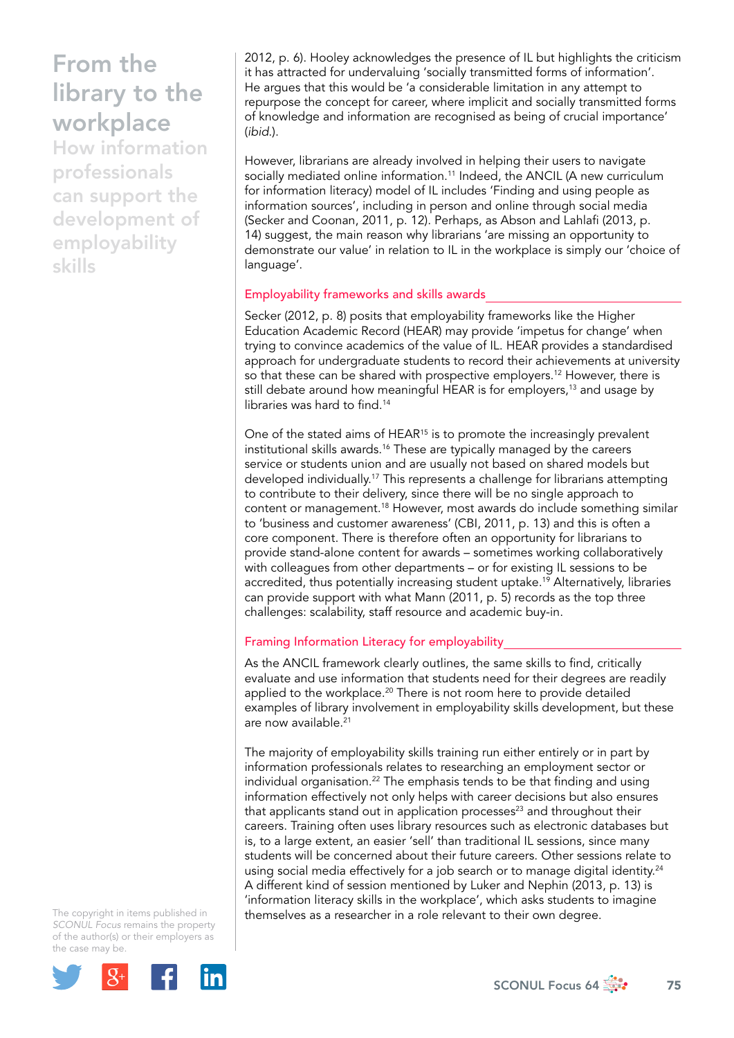How information professionals can support the development of employability skills

2012, p. 6). Hooley acknowledges the presence of IL but highlights the criticism it has attracted for undervaluing 'socially transmitted forms of information'. He argues that this would be 'a considerable limitation in any attempt to repurpose the concept for career, where implicit and socially transmitted forms of knowledge and information are recognised as being of crucial importance' (*ibid*.).

However, librarians are already involved in helping their users to navigate socially mediated online information.<sup>11</sup> Indeed, the ANCIL (A new curriculum for information literacy) model of IL includes 'Finding and using people as information sources', including in person and online through social media (Secker and Coonan, 2011, p. 12). Perhaps, as Abson and Lahlafi (2013, p. 14) suggest, the main reason why librarians 'are missing an opportunity to demonstrate our value' in relation to IL in the workplace is simply our 'choice of language'.

#### Employability frameworks and skills awards

Secker (2012, p. 8) posits that employability frameworks like the Higher Education Academic Record (HEAR) may provide 'impetus for change' when trying to convince academics of the value of IL. HEAR provides a standardised approach for undergraduate students to record their achievements at university so that these can be shared with prospective employers.<sup>12</sup> However, there is still debate around how meaningful HEAR is for employers,<sup>13</sup> and usage by libraries was hard to find.<sup>14</sup>

One of the stated aims of HEAR<sup>15</sup> is to promote the increasingly prevalent institutional skills awards.<sup>16</sup> These are typically managed by the careers service or students union and are usually not based on shared models but developed individually.<sup>17</sup> This represents a challenge for librarians attempting to contribute to their delivery, since there will be no single approach to content or management.18 However, most awards do include something similar to 'business and customer awareness' (CBI, 2011, p. 13) and this is often a core component. There is therefore often an opportunity for librarians to provide stand-alone content for awards – sometimes working collaboratively with colleagues from other departments – or for existing IL sessions to be accredited, thus potentially increasing student uptake.<sup>19</sup> Alternatively, libraries can provide support with what Mann (2011, p. 5) records as the top three challenges: scalability, staff resource and academic buy-in.

## Framing Information Literacy for employability

As the ANCIL framework clearly outlines, the same skills to find, critically evaluate and use information that students need for their degrees are readily applied to the workplace.<sup>20</sup> There is not room here to provide detailed examples of library involvement in employability skills development, but these are now available.<sup>21</sup>

The majority of employability skills training run either entirely or in part by information professionals relates to researching an employment sector or individual organisation.<sup>22</sup> The emphasis tends to be that finding and using information effectively not only helps with career decisions but also ensures that applicants stand out in application processes $^{23}$  and throughout their careers. Training often uses library resources such as electronic databases but is, to a large extent, an easier 'sell' than traditional IL sessions, since many students will be concerned about their future careers. Other sessions relate to using social media effectively for a job search or to manage digital identity.<sup>24</sup> A different kind of session mentioned by Luker and Nephin (2013, p. 13) is 'information literacy skills in the workplace', which asks students to imagine themselves as a researcher in a role relevant to their own degree.

The copyright in items published in *SCONUL Focus* remains the property of the author(s) or their employers as the case m[ay be.](http://plus.google.com/share?url=http://www.sconul.ac.uk/page/focus-64)

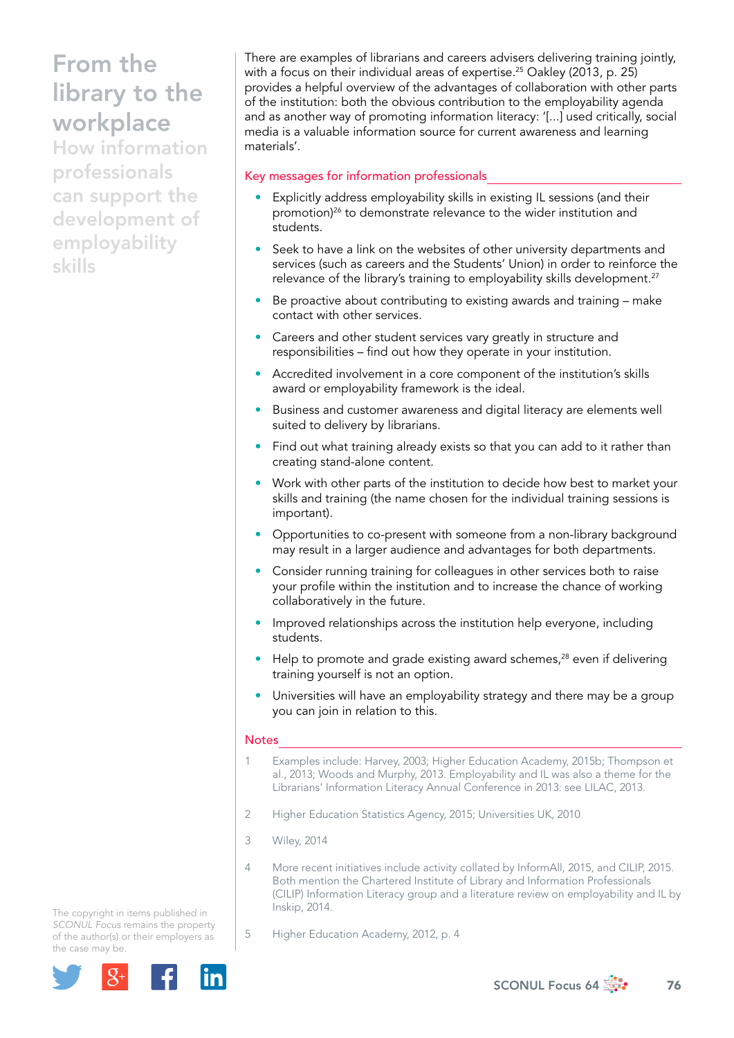How information professionals can support the development of employability skills

There are examples of librarians and careers advisers delivering training jointly, with a focus on their individual areas of expertise.<sup>25</sup> Oakley (2013, p. 25) provides a helpful overview of the advantages of collaboration with other parts of the institution: both the obvious contribution to the employability agenda and as another way of promoting information literacy: '[...] used critically, social media is a valuable information source for current awareness and learning materials'.

### Key messages for information professionals

- Explicitly address employability skills in existing IL sessions (and their promotion)<sup>26</sup> to demonstrate relevance to the wider institution and students.
- Seek to have a link on the websites of other university departments and services (such as careers and the Students' Union) in order to reinforce the relevance of the library's training to employability skills development.<sup>27</sup>
- Be proactive about contributing to existing awards and training make contact with other services.
- Careers and other student services vary greatly in structure and responsibilities – find out how they operate in your institution.
- Accredited involvement in a core component of the institution's skills award or employability framework is the ideal.
- Business and customer awareness and digital literacy are elements well suited to delivery by librarians.
- Find out what training already exists so that you can add to it rather than creating stand-alone content.
- Work with other parts of the institution to decide how best to market your skills and training (the name chosen for the individual training sessions is important).
- Opportunities to co-present with someone from a non-library background may result in a larger audience and advantages for both departments.
- Consider running training for colleagues in other services both to raise your profile within the institution and to increase the chance of working collaboratively in the future.
- Improved relationships across the institution help everyone, including students.
- Help to promote and grade existing award schemes,<sup>28</sup> even if delivering training yourself is not an option.
- Universities will have an employability strategy and there may be a group you can join in relation to this.

#### **Notes**

- 1 Examples include: Harvey, 2003; Higher Education Academy, 2015b; Thompson et al., 2013; Woods and Murphy, 2013. Employability and IL was also a theme for the Librarians' Information Literacy Annual Conference in 2013: see LILAC, 2013.
- 2 Higher Education Statistics Agency, 2015; Universities UK, 2010
- 3 Wiley, 2014
- 4 More recent initiatives include activity collated by InformAll, 2015, and CILIP, 2015. Both mention the Chartered Institute of Library and Information Professionals (CILIP) Information Literacy group and a literature review on employability and IL by Inskip, 2014.
- The copyright in items published in *SCONUL Focus* remains the property of the author(s) or their employers as the case m[ay be.](http://plus.google.com/share?url=http://www.sconul.ac.uk/page/focus-64)



5 Higher Education Academy, 2012, p. 4

SCONUL Focus 64  $\frac{1}{200}$  76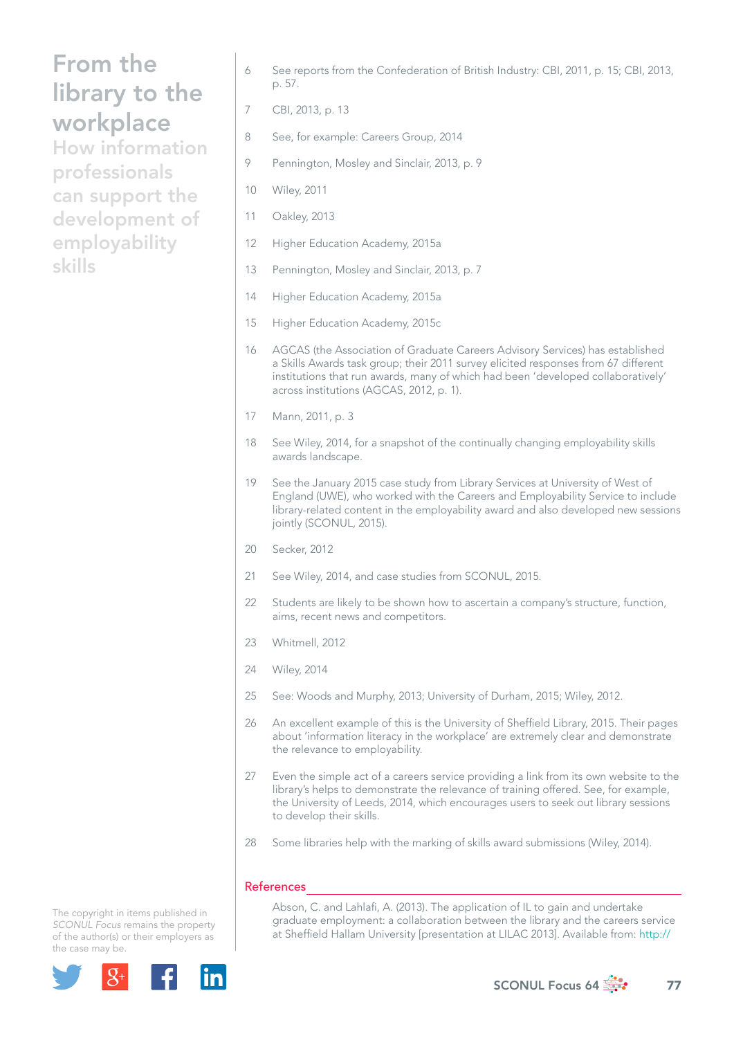How information professionals can support the development of employability skills

- 6 See reports from the Confederation of British Industry: CBI, 2011, p. 15; CBI, 2013, p. 57.
- 7 CBI, 2013, p. 13
- 8 See, for example: Careers Group, 2014
- 9 Pennington, Mosley and Sinclair, 2013, p. 9
- 10 Wiley, 2011
- 11 Oakley, 2013
- 12 Higher Education Academy, 2015a
- 13 Pennington, Mosley and Sinclair, 2013, p. 7
- 14 Higher Education Academy, 2015a
- 15 Higher Education Academy, 2015c
- 16 AGCAS (the Association of Graduate Careers Advisory Services) has established a Skills Awards task group; their 2011 survey elicited responses from 67 different institutions that run awards, many of which had been 'developed collaboratively' across institutions (AGCAS, 2012, p. 1).
- 17 Mann, 2011, p. 3
- 18 See Wiley, 2014, for a snapshot of the continually changing employability skills awards landscape.
- 19 See the January 2015 case study from Library Services at University of West of England (UWE), who worked with the Careers and Employability Service to include library-related content in the employability award and also developed new sessions jointly (SCONUL, 2015).
- 20 Secker, 2012
- 21 See Wiley, 2014, and case studies from SCONUL, 2015.
- 22 Students are likely to be shown how to ascertain a company's structure, function, aims, recent news and competitors.
- 23 Whitmell, 2012
- 24 Wiley, 2014
- 25 See: Woods and Murphy, 2013; University of Durham, 2015; Wiley, 2012.
- 26 An excellent example of this is the University of Sheffield Library, 2015. Their pages about 'information literacy in the workplace' are extremely clear and demonstrate the relevance to employability.
- 27 Even the simple act of a careers service providing a link from its own website to the library's helps to demonstrate the relevance of training offered. See, for example, the University of Leeds, 2014, which encourages users to seek out library sessions to develop their skills.
- 28 Some libraries help with the marking of skills award submissions (Wiley, 2014).

#### References

Abson, C. and Lahlafi, A. (2013). The application of IL to gain and undertake graduate employment: a collaboration between the library and the careers service at Sheffield Hallam University [presentation at LILAC 2013]. Available from: http://

The copyright in items published in *SCONUL Focus* remains the property of the author(s) or their employers as the case m[ay be.](http://plus.google.com/share?url=http://www.sconul.ac.uk/page/focus-64)



SCONUL Focus 64  $\frac{1}{200}$  77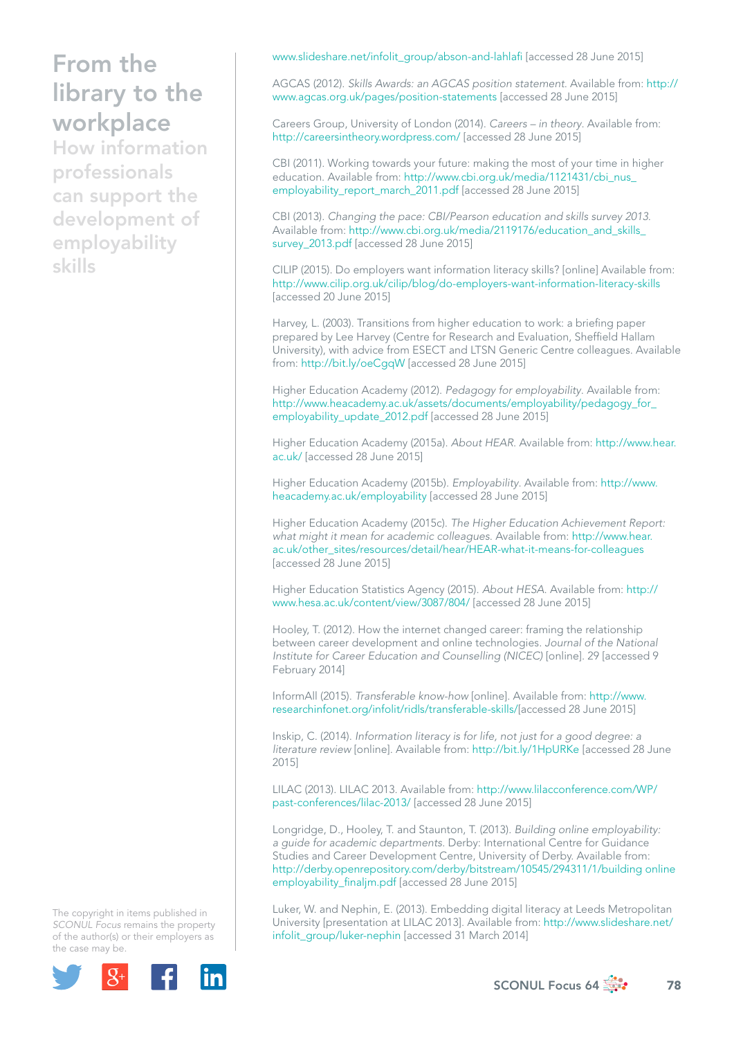How information professionals can support the development of employability skills

www.slideshare.net/infolit\_group/abson-and-lahlafi [accessed 28 June 2015]

AGCAS (2012). *Skills Awards: an AGCAS position statement*. Available from: [http://](http://www.agcas.org.uk/pages/position-statements) [www.agcas.org.uk/pages/position-statements](http://www.agcas.org.uk/pages/position-statements) [accessed 28 June 2015]

Careers Group, University of London (2014). *Careers – in theory*. Available from: http://careersintheory.wordpress.com/ [accessed 28 June 2015]

CBI (2011). Working towards your future: making the most of your time in higher education. Available from: http://www.cbi.org.uk/media/1121431/cbi\_nus [employability\\_report\\_march\\_2011.pdf](http://www.cbi.org.uk/media/1121431/cbi_nus_employability_report_march_2011.pdf) [accessed 28 June 2015]

CBI (2013). *Changing the pace: CBI/Pearson education and skills survey 2013*. Available from: [http://www.cbi.org.uk/media/2119176/education\\_and\\_skills\\_](http://www.cbi.org.uk/media/2119176/education_and_skills_survey_2013.pdf) [survey\\_2013.pdf](http://www.cbi.org.uk/media/2119176/education_and_skills_survey_2013.pdf) [accessed 28 June 2015]

CILIP (2015). Do employers want information literacy skills? [online] Available from: http://www.cilip.org.uk/cilip/blog/do-employers-want-information-literacy-skills [accessed 20 June 2015]

Harvey, L. (2003). Transitions from higher education to work: a briefing paper prepared by Lee Harvey (Centre for Research and Evaluation, Sheffield Hallam University), with advice from ESECT and LTSN Generic Centre colleagues. Available from: http://bit.ly/oeCgqW [accessed 28 June 2015]

Higher Education Academy (2012). *Pedagogy for employability*. Available from: [http://www.heacademy.ac.uk/assets/documents/employability/pedagogy\\_for\\_](http://www.heacademy.ac.uk/assets/documents/employability/pedagogy_for_employability_update_2012.pdf) [employability\\_update\\_2012.pdf](http://www.heacademy.ac.uk/assets/documents/employability/pedagogy_for_employability_update_2012.pdf) [accessed 28 June 2015]

Higher Education Academy (2015a). *About HEAR*. Available from: [http://www.hear.](http://www.hear.ac.uk/) [ac.uk/](http://www.hear.ac.uk/) [accessed 28 June 2015]

Higher Education Academy (2015b). *Employability*. Available from: [http://www.](http://www.heacademy.ac.uk/employability) [heacademy.ac.uk/employability](http://www.heacademy.ac.uk/employability) [accessed 28 June 2015]

Higher Education Academy (2015c). *The Higher Education Achievement Report: what might it mean for academic colleagues*. Available from: [http://www.hear.](http://www.hear.ac.uk/other_sites/resources/detail/hear/HEAR-what-it-means-for-colleagues) [ac.uk/other\\_sites/resources/detail/hear/HEAR-what-it-means-for-colleagues](http://www.hear.ac.uk/other_sites/resources/detail/hear/HEAR-what-it-means-for-colleagues) [accessed 28 June 2015]

Higher Education Statistics Agency (2015). *About HESA*. Available from: [http://](http://www.hesa.ac.uk/content/view/3087/804/) [www.hesa.ac.uk/content/view/3087/804/](http://www.hesa.ac.uk/content/view/3087/804/) [accessed 28 June 2015]

Hooley, T. (2012). How the internet changed career: framing the relationship between career development and online technologies. *Journal of the National Institute for Career Education and Counselling (NICEC)* [online]. 29 [accessed 9 February 2014]

InformAll (2015). *Transferable know-how* [online]. Available from: [http://www.](http://www.researchinfonet.org/infolit/ridls/transferable-skills/) [researchinfonet.org/infolit/ridls/transferable-skills/](http://www.researchinfonet.org/infolit/ridls/transferable-skills/)[accessed 28 June 2015]

Inskip, C. (2014). *Information literacy is for life, not just for a good degree: a literature review* [online]. Available from: http://bit.ly/1HpURKe [accessed 28 June 2015]

LILAC (2013). LILAC 2013. Available from: [http://www.lilacconference.com/WP/](http://www.lilacconference.com/WP/past-conferences/lilac-2013/) [past-conferences/lilac-2013/](http://www.lilacconference.com/WP/past-conferences/lilac-2013/) [accessed 28 June 2015]

Longridge, D., Hooley, T. and Staunton, T. (2013). *Building online employability: a guide for academic departments*. Derby: International Centre for Guidance Studies and Career Development Centre, University of Derby. Available from: [http://derby.openrepository.com/derby/bitstream/10545/294311/1/building online](http://derby.openrepository.com/derby/bitstream/10545/294311/1/building online employability_finaljm.pdf)  [employability\\_finaljm.pdf](http://derby.openrepository.com/derby/bitstream/10545/294311/1/building online employability_finaljm.pdf) [accessed 28 June 2015]

Luker, W. and Nephin, E. (2013). Embedding digital literacy at Leeds Metropolitan University [presentation at LILAC 2013]. Available from: [http://www.slideshare.net/](http://www.slideshare.net/infolit_group/luker-nephin) [infolit\\_group/luker-nephin](http://www.slideshare.net/infolit_group/luker-nephin) [accessed 31 March 2014]

The copyright in items published in *SCONUL Focus* remains the property of the author(s) or their employers as the case m[ay be.](http://plus.google.com/share?url=http://www.sconul.ac.uk/page/focus-64)



SCONUL Focus 64  $\frac{4}{2}$  78

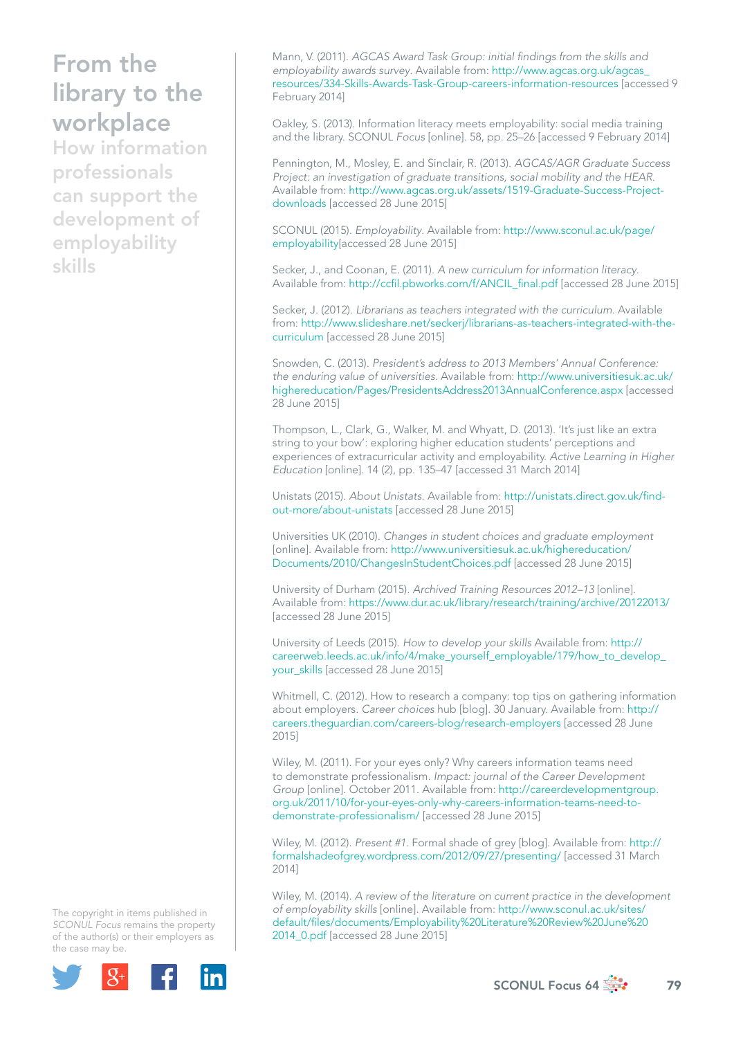How information professionals can support the development of employability skills

Mann, V. (2011). *AGCAS Award Task Group: initial findings from the skills and employability awards survey*. Available from: [http://www.agcas.org.uk/agcas\\_](http://www.agcas.org.uk/agcas_resources/334-Skills-Awards-Task-Group-careers-information-resources) [resources/334-Skills-Awards-Task-Group-careers-information-resources](http://www.agcas.org.uk/agcas_resources/334-Skills-Awards-Task-Group-careers-information-resources) [accessed 9 February 2014]

Oakley, S. (2013). Information literacy meets employability: social media training and the library. SCONUL *Focus* [online]. 58, pp. 25–26 [accessed 9 February 2014]

Pennington, M., Mosley, E. and Sinclair, R. (2013). *AGCAS/AGR Graduate Success Project: an investigation of graduate transitions, social mobility and the HEAR*. Available from: [http://www.agcas.org.uk/assets/1519-Graduate-Success-Project](http://www.agcas.org.uk/assets/1519-Graduate-Success-Project-downloads)[downloads](http://www.agcas.org.uk/assets/1519-Graduate-Success-Project-downloads) [accessed 28 June 2015]

SCONUL (2015). *Employability*. Available from: [http://www.sconul.ac.uk/page/](http://www.sconul.ac.uk/page/employability) [employability\[](http://www.sconul.ac.uk/page/employability)accessed 28 June 2015]

Secker, J., and Coonan, E. (2011). *A new curriculum for information literacy*. Available from: [http://ccfil.pbworks.com/f/ANCIL\\_final.pdf](http://ccfil.pbworks.com/f/ANCIL_final.pdf) [accessed 28 June 2015]

Secker, J. (2012). *Librarians as teachers integrated with the curriculum*. Available from: [http://www.slideshare.net/seckerj/librarians-as-teachers-integrated-with-the](http://www.slideshare.net/seckerj/librarians-as-teachers-integrated-with-the-curriculum)[curriculum](http://www.slideshare.net/seckerj/librarians-as-teachers-integrated-with-the-curriculum) [accessed 28 June 2015]

Snowden, C. (2013). *President's address to 2013 Members' Annual Conference: the enduring value of universities*. Available from: [http://www.universitiesuk.ac.uk/](http://www.universitiesuk.ac.uk/highereducation/Pages/PresidentsAddress2013AnnualConference.aspx) [highereducation/Pages/PresidentsAddress2013AnnualConference.aspx](http://www.universitiesuk.ac.uk/highereducation/Pages/PresidentsAddress2013AnnualConference.aspx) [accessed 28 June 2015]

Thompson, L., Clark, G., Walker, M. and Whyatt, D. (2013). 'It's just like an extra string to your bow': exploring higher education students' perceptions and experiences of extracurricular activity and employability. *Active Learning in Higher Education* [online]. 14 (2), pp. 135–47 [accessed 31 March 2014]

Unistats (2015). *About Unistats*. Available from: [http://unistats.direct.gov.uk/find](http://unistats.direct.gov.uk/find-out-more/about-unistats)[out-more/about-unistats](http://unistats.direct.gov.uk/find-out-more/about-unistats) [accessed 28 June 2015]

Universities UK (2010). *Changes in student choices and graduate employment* [online]. Available from: [http://www.universitiesuk.ac.uk/highereducation/](http://www.universitiesuk.ac.uk/highereducation/Documents/2010/ChangesInStudentChoices.pdf) [Documents/2010/ChangesInStudentChoices.pdf](http://www.universitiesuk.ac.uk/highereducation/Documents/2010/ChangesInStudentChoices.pdf) [accessed 28 June 2015]

University of Durham (2015). *Archived Training Resources 2012–13* [online]. Available from: https://www.dur.ac.uk/library/research/training/archive/20122013/ [accessed 28 June 2015]

University of Leeds (2015). *How to develop your skills* Available from: [http://](http://careerweb.leeds.ac.uk/info/4/make_yourself_employable/179/how_to_develop_your_skills) [careerweb.leeds.ac.uk/info/4/make\\_yourself\\_employable/179/how\\_to\\_develop\\_](http://careerweb.leeds.ac.uk/info/4/make_yourself_employable/179/how_to_develop_your_skills) [your\\_skills](http://careerweb.leeds.ac.uk/info/4/make_yourself_employable/179/how_to_develop_your_skills) [accessed 28 June 2015]

Whitmell, C. (2012). How to research a company: top tips on gathering information about employers. *Career choices* hub [blog]. 30 January. Available from: [http://](http://careers.theguardian.com/careers-blog/research-employers) [careers.theguardian.com/careers-blog/research-employers](http://careers.theguardian.com/careers-blog/research-employers) [accessed 28 June 2015]

Wiley, M. (2011). For your eyes only? Why careers information teams need to demonstrate professionalism. *Impact: journal of the Career Development Group* [online]. October 2011. Available from: [http://careerdevelopmentgroup.](http://careerdevelopmentgroup.org.uk/2011/10/for-your-eyes-only-why-careers-information-teams-need-to-demonstrate-professionalism/) [org.uk/2011/10/for-your-eyes-only-why-careers-information-teams-need-to](http://careerdevelopmentgroup.org.uk/2011/10/for-your-eyes-only-why-careers-information-teams-need-to-demonstrate-professionalism/)[demonstrate-professionalism/](http://careerdevelopmentgroup.org.uk/2011/10/for-your-eyes-only-why-careers-information-teams-need-to-demonstrate-professionalism/) [accessed 28 June 2015]

Wiley, M. (2012). *Present #1*. Formal shade of grey [blog]. Available from: [http://](http://formalshadeofgrey.wordpress.com/2012/09/27/presenting/) [formalshadeofgrey.wordpress.com/2012/09/27/presenting/](http://formalshadeofgrey.wordpress.com/2012/09/27/presenting/) [accessed 31 March 2014]

Wiley, M. (2014). *A review of the literature on current practice in the development of employability skills* [online]. Available from: [http://www.sconul.ac.uk/sites/](http://www.sconul.ac.uk/sites/default/files/documents/Employability%20Literature%20Review%20June%202014_0.pdf) [default/files/documents/Employability%20Literature%20Review%20June%20](http://www.sconul.ac.uk/sites/default/files/documents/Employability%20Literature%20Review%20June%202014_0.pdf) [2014\\_0.pdf](http://www.sconul.ac.uk/sites/default/files/documents/Employability%20Literature%20Review%20June%202014_0.pdf) [accessed 28 June 2015]

The copyright in items published in *SCONUL Focus* remains the property of the author(s) or their employers as the case m[ay be.](http://plus.google.com/share?url=http://www.sconul.ac.uk/page/focus-64)



SCONUL Focus 64  $\frac{4}{2}$  79